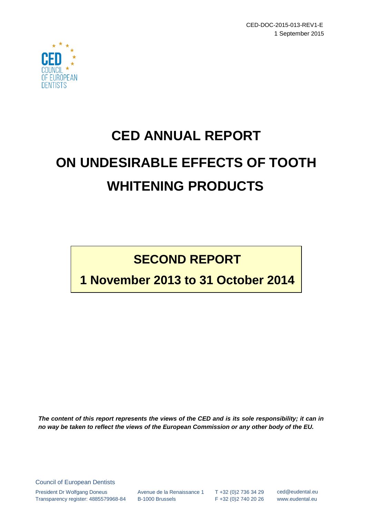

# **CED ANNUAL REPORT ON UNDESIRABLE EFFECTS OF TOOTH WHITENING PRODUCTS**

# **SECOND REPORT**

# **1 November 2013 to 31 October 2014**

*The content of this report represents the views of the CED and is its sole responsibility; it can in no way be taken to reflect the views of the European Commission or any other body of the EU.*

Council of European Dentists

President Dr Wolfgang Doneus Transparency register: 4885579968-84

Avenue de la Renaissance 1 B-1000 Brussels

T +32 (0)2 736 34 29 F +32 (0)2 740 20 26 www.eudental.eu

ced@eudental.eu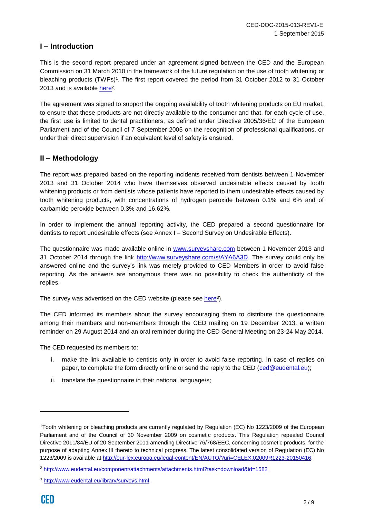### **I – Introduction**

This is the second report prepared under an agreement signed between the CED and the European Commission on 31 March 2010 in the framework of the future regulation on the use of tooth whitening or bleaching products (TWPs)<sup>1</sup>. The first report covered the period from 31 October 2012 to 31 October 2013 and is available [here](http://www.eudental.eu/component/attachments/attachments.html?task=download&id=1582)<sup>2</sup>.

The agreement was signed to support the ongoing availability of tooth whitening products on EU market, to ensure that these products are not directly available to the consumer and that, for each cycle of use, the first use is limited to dental practitioners, as defined under Directive 2005/36/EC of the European Parliament and of the Council of 7 September 2005 on the recognition of professional qualifications, or under their direct supervision if an equivalent level of safety is ensured.

### **II – Methodology**

The report was prepared based on the reporting incidents received from dentists between 1 November 2013 and 31 October 2014 who have themselves observed undesirable effects caused by tooth whitening products or from dentists whose patients have reported to them undesirable effects caused by tooth whitening products, with concentrations of hydrogen peroxide between 0.1% and 6% and of carbamide peroxide between 0.3% and 16.62%.

In order to implement the annual reporting activity, the CED prepared a second questionnaire for dentists to report undesirable effects (see Annex I – Second Survey on Undesirable Effects).

The questionnaire was made available online in [www.surveyshare.com](http://www.surveyshare.com/) between 1 November 2013 and 31 October 2014 through the link [http://www.surveyshare.com/s/AYA6A3D.](http://www.surveyshare.com/s/AYA6A3D) The survey could only be answered online and the survey's link was merely provided to CED Members in order to avoid false reporting. As the answers are anonymous there was no possibility to check the authenticity of the replies.

The survey was advertised on the CED website (please see [here](http://www.eudental.eu/library/surveys.html)<sup>3</sup>).

The CED informed its members about the survey encouraging them to distribute the questionnaire among their members and non-members through the CED mailing on 19 December 2013, a written reminder on 29 August 2014 and an oral reminder during the CED General Meeting on 23-24 May 2014.

The CED requested its members to:

- i. make the link available to dentists only in order to avoid false reporting. In case of replies on paper, to complete the form directly online or send the reply to the CED [\(ced@eudental.eu\)](mailto:ced@eudental.eu);
- ii. translate the questionnaire in their national language/s;

l

<sup>1</sup>Tooth whitening or bleaching products are currently regulated by Regulation (EC) No 1223/2009 of the European Parliament and of the Council of 30 November 2009 on cosmetic products. This Regulation repealed Council Directive 2011/84/EU of 20 September 2011 amending Directive 76/768/EEC, concerning cosmetic products, for the purpose of adapting Annex III thereto to technical progress. The latest consolidated version of Regulation (EC) No 1223/2009 is available at [http://eur-lex.europa.eu/legal-content/EN/AUTO/?uri=CELEX:02009R1223-20150416.](http://eur-lex.europa.eu/legal-content/EN/AUTO/?uri=CELEX:02009R1223-20150416)

<sup>2</sup> <http://www.eudental.eu/component/attachments/attachments.html?task=download&id=1582>

<sup>3</sup> <http://www.eudental.eu/library/surveys.html>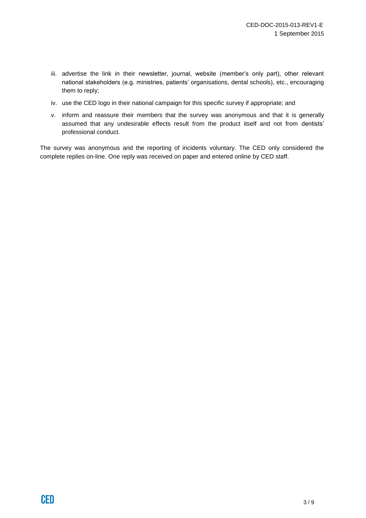- iii. advertise the link in their newsletter, journal, website (member's only part), other relevant national stakeholders (e.g. ministries, patients' organisations, dental schools), etc., encouraging them to reply;
- iv. use the CED logo in their national campaign for this specific survey if appropriate; and
- v. inform and reassure their members that the survey was anonymous and that it is generally assumed that any undesirable effects result from the product itself and not from dentists' professional conduct.

The survey was anonymous and the reporting of incidents voluntary. The CED only considered the complete replies on-line. One reply was received on paper and entered online by CED staff.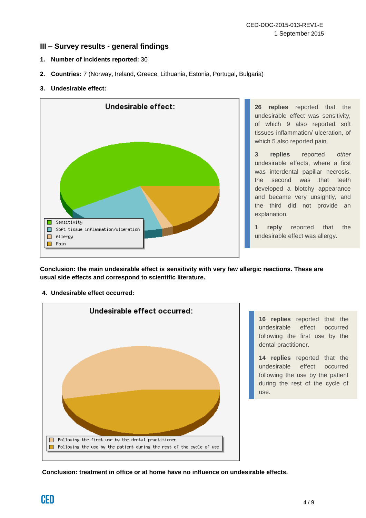#### **III – Survey results - general findings**

- **1. Number of incidents reported:** 30
- **2. Countries:** 7 (Norway, Ireland, Greece, Lithuania, Estonia, Portugal, Bulgaria)

#### **3. Undesirable effect:**



**26 replies** reported that the undesirable effect was sensitivity, of which 9 also reported soft tissues inflammation/ ulceration, of which 5 also reported pain.

**3 replies** reported *other* undesirable effects, where a first was interdental papillar necrosis, the second was that teeth developed a blotchy appearance and became very unsightly, and the third did not provide an explanation.

**1 reply** reported that the undesirable effect was allergy.

**Conclusion: the main undesirable effect is sensitivity with very few allergic reactions. These are usual side effects and correspond to scientific literature.**

#### **4. Undesirable effect occurred:**



**16 replies** reported that the undesirable effect occurred following the first use by the dental practitioner.

**14 replies** reported that the undesirable effect occurred following the use by the patient during the rest of the cycle of use.

**Conclusion: treatment in office or at home have no influence on undesirable effects.**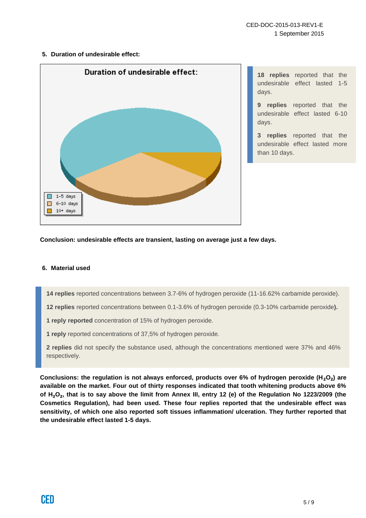#### **5. Duration of undesirable effect:**



**18 replies** reported that the undesirable effect lasted 1-5 days.

**9 replies** reported that the undesirable effect lasted 6-10 days.

**3 replies** reported that the undesirable effect lasted more than 10 days.

**Conclusion: undesirable effects are transient, lasting on average just a few days.**

#### **6. Material used**

**14 replies** reported concentrations between 3.7-6% of hydrogen peroxide (11-16.62% carbamide peroxide).

**12 replies** reported concentrations between 0.1-3.6% of hydrogen peroxide (0.3-10% carbamide peroxide**).**

**1 reply reported** concentration of 15% of hydrogen peroxide.

**1 reply** reported concentrations of 37,5% of hydrogen peroxide.

**2 replies** did not specify the substance used, although the concentrations mentioned were 37% and 46% respectively.

**Conclusions: the regulation is not always enforced, products over 6% of hydrogen peroxide (H**₂**O**₂**) are available on the market. Four out of thirty responses indicated that tooth whitening products above 6% of H**₂**O**₂**, that is to say above the limit from Annex III, entry 12 (e) of the Regulation No 1223/2009 (the Cosmetics Regulation), had been used. These four replies reported that the undesirable effect was sensitivity, of which one also reported soft tissues inflammation/ ulceration. They further reported that the undesirable effect lasted 1-5 days.**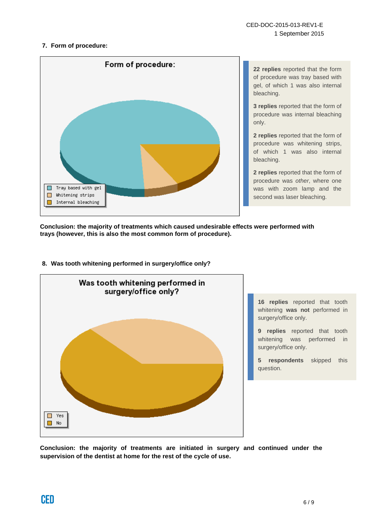#### **7. Form of procedure:**



**22 replies** reported that the form of procedure was tray based with gel, of which 1 was also internal bleaching.

**3 replies** reported that the form of procedure was internal bleaching only.

**2 replies** reported that the form of procedure was whitening strips, of which 1 was also internal bleaching.

**2 replies** reported that the form of procedure was *other*, where one was with zoom lamp and the second was laser bleaching.

**Conclusion: the majority of treatments which caused undesirable effects were performed with trays (however, this is also the most common form of procedure).**



**8. Was tooth whitening performed in surgery/office only?**

**16 replies** reported that tooth whitening **was not** performed in surgery/office only.

**9 replies** reported that tooth whitening was performed in surgery/office only.

**5 respondents** skipped this question.

**Conclusion: the majority of treatments are initiated in surgery and continued under the supervision of the dentist at home for the rest of the cycle of use.**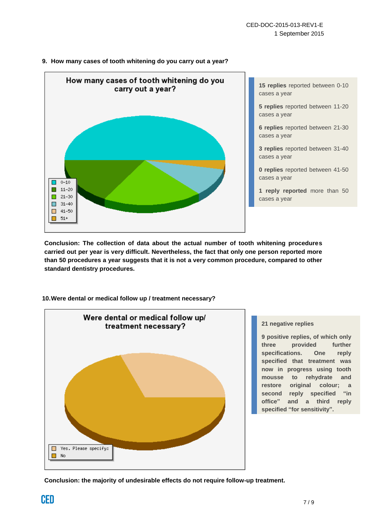

#### **9. How many cases of tooth whitening do you carry out a year?**

**Conclusion: The collection of data about the actual number of tooth whitening procedures carried out per year is very difficult. Nevertheless, the fact that only one person reported more than 50 procedures a year suggests that it is not a very common procedure, compared to other standard dentistry procedures.** 



#### **10.Were dental or medical follow up / treatment necessary?**

#### **21 negative replies**

**9 positive replies, of which only three provided further specifications. One reply specified that treatment was now in progress using tooth mousse to rehydrate and restore original colour; a second reply specified "in office" and a third reply specified "for sensitivity".**

**Conclusion: the majority of undesirable effects do not require follow-up treatment.**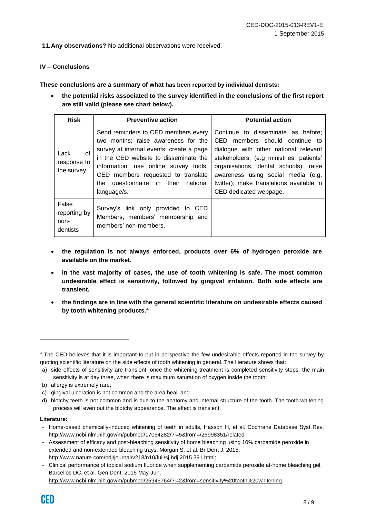**11.Any observations?** No additional observations were received.

#### **IV – Conclusions**

**These conclusions are a summary of what has been reported by individual dentists:**

 **the potential risks associated to the survey identified in the conclusions of the first report are still valid (please see chart below).**

| <b>Risk</b>                               | <b>Preventive action</b>                                                                                                                                                                                                                                                                             | <b>Potential action</b>                                                                                                                                                                                                                                                                                            |
|-------------------------------------------|------------------------------------------------------------------------------------------------------------------------------------------------------------------------------------------------------------------------------------------------------------------------------------------------------|--------------------------------------------------------------------------------------------------------------------------------------------------------------------------------------------------------------------------------------------------------------------------------------------------------------------|
| Lack<br>of<br>response to<br>the survey   | Send reminders to CED members every<br>two months; raise awareness for the<br>survey at internal events; create a page<br>in the CED website to disseminate the<br>information; use online survey tools,<br>CED members requested to translate<br>the questionnaire in their national<br>language/s. | Continue to disseminate as before;<br>members should continue to<br>CED.<br>dialogue with other national relevant<br>stakeholders; (e.g ministries, patients'<br>organisations, dental schools); raise<br>awareness using social media (e.g.<br>twitter); make translations available in<br>CED dedicated webpage. |
| False<br>reporting by<br>non-<br>dentists | Survey's link only provided to CED<br>Members, members' membership and<br>members' non-members.                                                                                                                                                                                                      |                                                                                                                                                                                                                                                                                                                    |

- **the regulation is not always enforced, products over 6% of hydrogen peroxide are available on the market.**
- **in the vast majority of cases, the use of tooth whitening is safe. The most common undesirable effect is sensitivity, followed by gingival irritation. Both side effects are transient.**
- **the findings are in line with the general scientific literature on undesirable effects caused by tooth whitening products.<sup>4</sup>**

 $\overline{a}$ 

<sup>4</sup> The CED believes that it is important to put in perspective the few undesirable effects reported in the survey by quoting scientific literature on the side effects of tooth whitening in general. The literature shows that:

a) side effects of sensitivity are transient; once the whitening treatment is completed sensitivity stops; the main sensitivity is at day three, when there is maximum saturation of oxygen inside the tooth;

b) allergy is extremely rare;

c) gingival ulceration is not common and the area heal; and

d) blotchy teeth is not common and is due to the anatomy and internal structure of the tooth. The tooth whitening process will even out the blotchy appearance. The effect is transient.

**Literature:**

<sup>-</sup> Home-based chemically-induced whitening of teeth in adults, Hasson H, et al. Cochrane Database Syst Rev, http://www.ncbi.nlm.nih.gov/m/pubmed/17054282/?i=5&from=/25998351/related

<sup>-</sup> Assessment of efficacy and post-bleaching sensitivity of home bleaching using 10% carbamide peroxide in extended and non-extended bleaching trays, Morgan S, et al. Br Dent J. 2015, [http://www.nature.com/bdj/journal/v218/n10/full/sj.bdj.2015.391.html;](http://www.nature.com/bdj/journal/v218/n10/full/sj.bdj.2015.391.html)

<sup>-</sup> Clinical performance of topical sodium fluoride when supplementing carbamide peroxide at-home bleaching gel, Barcellos DC, et al. Gen Dent. 2015 May-Jun, [http://www.ncbi.nlm.nih.gov/m/pubmed/25945764/?i=2&from=sensitivity%20tooth%20whitening.](http://www.ncbi.nlm.nih.gov/m/pubmed/25945764/?i=2&from=sensitivity%20tooth%20whitening)